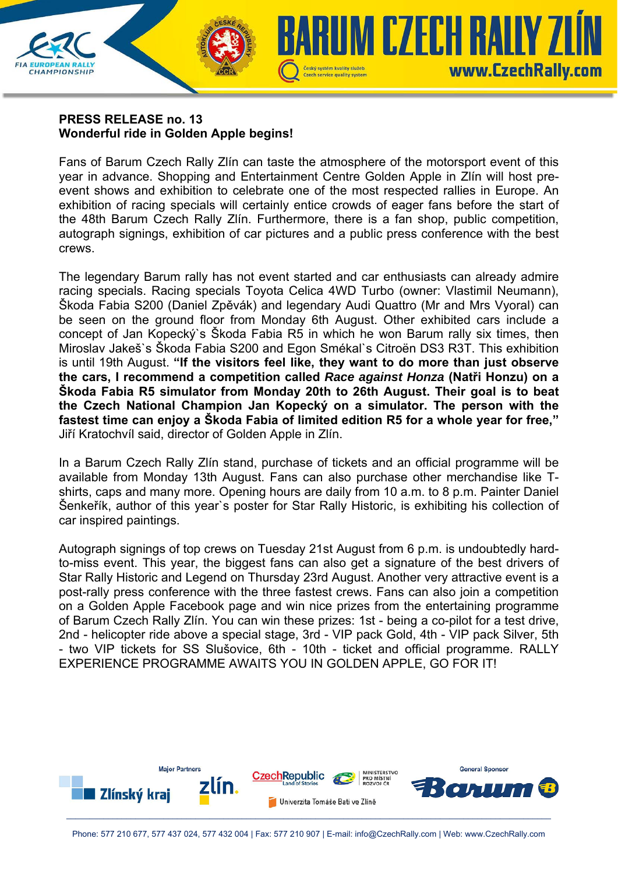## **PRESS RELEASE no. 13 Wonderful ride in Golden Apple begins!**

**CHAMPIONSHIP** 

Fans of Barum Czech Rally Zlín can taste the atmosphere of the motorsport event of this year in advance. Shopping and Entertainment Centre Golden Apple in Zlín will host preevent shows and exhibition to celebrate one of the most respected rallies in Europe. An exhibition of racing specials will certainly entice crowds of eager fans before the start of the 48th Barum Czech Rally Zlín. Furthermore, there is a fan shop, public competition, autograph signings, exhibition of car pictures and a public press conference with the best crews.

Czech service quality system

**IUM CZECH RALLY ZI** 

www.CzechRally.com

The legendary Barum rally has not event started and car enthusiasts can already admire racing specials. Racing specials Toyota Celica 4WD Turbo (owner: Vlastimil Neumann), Škoda Fabia S200 (Daniel Zpěvák) and legendary Audi Quattro (Mr and Mrs Vyoral) can be seen on the ground floor from Monday 6th August. Other exhibited cars include a concept of Jan Kopecký`s Škoda Fabia R5 in which he won Barum rally six times, then Miroslav Jakeš`s Škoda Fabia S200 and Egon Smékal`s Citroën DS3 R3T. This exhibition is until 19th August. **"If the visitors feel like, they want to do more than just observe the cars, I recommend a competition called** *Race against Honza* **(Natři Honzu) on a Škoda Fabia R5 simulator from Monday 20th to 26th August. Their goal is to beat the Czech National Champion Jan Kopecký on a simulator. The person with the fastest time can enjoy a Škoda Fabia of limited edition R5 for a whole year for free,"** Jiří Kratochvíl said, director of Golden Apple in Zlín.

In a Barum Czech Rally Zlín stand, purchase of tickets and an official programme will be available from Monday 13th August. Fans can also purchase other merchandise like Tshirts, caps and many more. Opening hours are daily from 10 a.m. to 8 p.m. Painter Daniel Šenkeřík, author of this year`s poster for Star Rally Historic, is exhibiting his collection of car inspired paintings.

Autograph signings of top crews on Tuesday 21st August from 6 p.m. is undoubtedly hardto-miss event. This year, the biggest fans can also get a signature of the best drivers of Star Rally Historic and Legend on Thursday 23rd August. Another very attractive event is a post-rally press conference with the three fastest crews. Fans can also join a competition on a Golden Apple Facebook page and win nice prizes from the entertaining programme of Barum Czech Rally Zlín. You can win these prizes: 1st - being a co-pilot for a test drive, 2nd - helicopter ride above a special stage, 3rd - VIP pack Gold, 4th - VIP pack Silver, 5th - two VIP tickets for SS Slušovice, 6th - 10th - ticket and official programme. RALLY EXPERIENCE PROGRAMME AWAITS YOU IN GOLDEN APPLE, GO FOR IT!